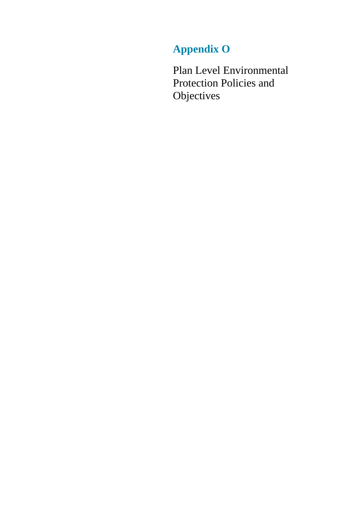# **Appendix O**

Plan Level Environmental Protection Policies and **Objectives**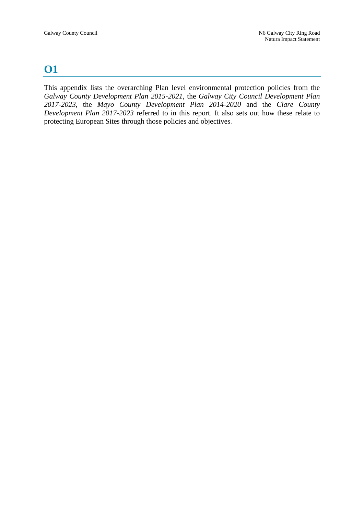## **O1**

This appendix lists the overarching Plan level environmental protection policies from the *Galway County Development Plan 2015-2021*, the *Galway City Council Development Plan 2017-2023*, the *Mayo County Development Plan 2014-2020* and the *Clare County Development Plan 2017-2023* referred to in this report. It also sets out how these relate to protecting European Sites through those policies and objectives.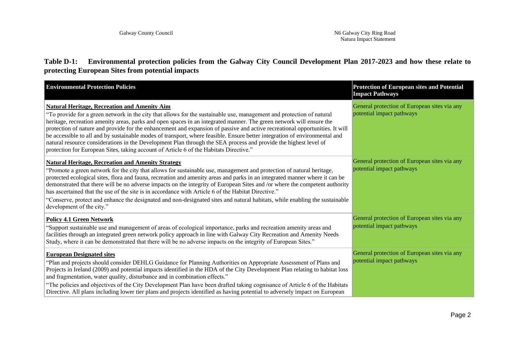**Table D-1: Environmental protection policies from the Galway City Council Development Plan 2017-2023 and how these relate to protecting European Sites from potential impacts**

| <b>Environmental Protection Policies</b>                                                                                                                                                                                                                                                                                                                                                                                                                                                                                                                                                                                                                                                                                                                                         | <b>Protection of European sites and Potential</b><br><b>Impact Pathways</b> |
|----------------------------------------------------------------------------------------------------------------------------------------------------------------------------------------------------------------------------------------------------------------------------------------------------------------------------------------------------------------------------------------------------------------------------------------------------------------------------------------------------------------------------------------------------------------------------------------------------------------------------------------------------------------------------------------------------------------------------------------------------------------------------------|-----------------------------------------------------------------------------|
| <b>Natural Heritage, Recreation and Amenity Aim</b><br>"To provide for a green network in the city that allows for the sustainable use, management and protection of natural<br>heritage, recreation amenity areas, parks and open spaces in an integrated manner. The green network will ensure the<br>protection of nature and provide for the enhancement and expansion of passive and active recreational opportunities. It will<br>be accessible to all and by sustainable modes of transport, where feasible. Ensure better integration of environmental and<br>natural resource considerations in the Development Plan through the SEA process and provide the highest level of<br>protection for European Sites, taking account of Article 6 of the Habitats Directive." | General protection of European sites via any<br>potential impact pathways   |
| <b>Natural Heritage, Recreation and Amenity Strategy</b><br>"Promote a green network for the city that allows for sustainable use, management and protection of natural heritage,<br>protected ecological sites, flora and fauna, recreation and amenity areas and parks in an integrated manner where it can be<br>demonstrated that there will be no adverse impacts on the integrity of European Sites and /or where the competent authority<br>has ascertained that the use of the site is in accordance with Article 6 of the Habitat Directive."<br>"Conserve, protect and enhance the designated and non-designated sites and natural habitats, while enabling the sustainable<br>development of the city."                                                               | General protection of European sites via any<br>potential impact pathways   |
| <b>Policy 4.1 Green Network</b><br>"Support sustainable use and management of areas of ecological importance, parks and recreation amenity areas and<br>facilities through an integrated green network policy approach in line with Galway City Recreation and Amenity Needs<br>Study, where it can be demonstrated that there will be no adverse impacts on the integrity of European Sites."                                                                                                                                                                                                                                                                                                                                                                                   | General protection of European sites via any<br>potential impact pathways   |
| <b>European Designated sites</b><br>"Plan and projects should consider DEHLG Guidance for Planning Authorities on Appropriate Assessment of Plans and<br>Projects in Ireland (2009) and potential impacts identified in the HDA of the City Development Plan relating to habitat loss<br>and fragmentation, water quality, disturbance and in combination effects."<br>"The policies and objectives of the City Development Plan have been drafted taking cognisance of Article 6 of the Habitats                                                                                                                                                                                                                                                                                | General protection of European sites via any<br>potential impact pathways   |
| Directive. All plans including lower tier plans and projects identified as having potential to adversely impact on European                                                                                                                                                                                                                                                                                                                                                                                                                                                                                                                                                                                                                                                      |                                                                             |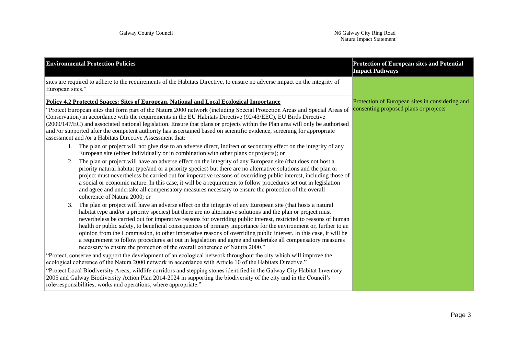| <b>Environmental Protection Policies</b>                                                                                                                                                                                                                                                                                                                                                                                                                                                                                                                                                                                                                                                                                                                                                    | <b>Protection of European sites and Potential</b><br><b>Impact Pathways</b>              |
|---------------------------------------------------------------------------------------------------------------------------------------------------------------------------------------------------------------------------------------------------------------------------------------------------------------------------------------------------------------------------------------------------------------------------------------------------------------------------------------------------------------------------------------------------------------------------------------------------------------------------------------------------------------------------------------------------------------------------------------------------------------------------------------------|------------------------------------------------------------------------------------------|
| sites are required to adhere to the requirements of the Habitats Directive, to ensure no adverse impact on the integrity of<br>European sites."                                                                                                                                                                                                                                                                                                                                                                                                                                                                                                                                                                                                                                             |                                                                                          |
| Policy 4.2 Protected Spaces: Sites of European, National and Local Ecological Importance<br>"Protect European sites that form part of the Natura 2000 network (including Special Protection Areas and Special Areas of<br>Conservation) in accordance with the requirements in the EU Habitats Directive (92/43/EEC), EU Birds Directive<br>(2009/147/EC) and associated national legislation. Ensure that plans or projects within the Plan area will only be authorised<br>and /or supported after the competent authority has ascertained based on scientific evidence, screening for appropriate<br>assessment and /or a Habitats Directive Assessment that:<br>1. The plan or project will not give rise to an adverse direct, indirect or secondary effect on the integrity of any    | Protection of European sites in considering and<br>consenting proposed plans or projects |
| European site (either individually or in combination with other plans or projects); or<br>The plan or project will have an adverse effect on the integrity of any European site (that does not host a<br>2.<br>priority natural habitat type/and or a priority species) but there are no alternative solutions and the plan or<br>project must nevertheless be carried out for imperative reasons of overriding public interest, including those of<br>a social or economic nature. In this case, it will be a requirement to follow procedures set out in legislation<br>and agree and undertake all compensatory measures necessary to ensure the protection of the overall<br>coherence of Natura 2000; or                                                                               |                                                                                          |
| The plan or project will have an adverse effect on the integrity of any European site (that hosts a natural<br>3.<br>habitat type and/or a priority species) but there are no alternative solutions and the plan or project must<br>nevertheless be carried out for imperative reasons for overriding public interest, restricted to reasons of human<br>health or public safety, to beneficial consequences of primary importance for the environment or, further to an<br>opinion from the Commission, to other imperative reasons of overriding public interest. In this case, it will be<br>a requirement to follow procedures set out in legislation and agree and undertake all compensatory measures<br>necessary to ensure the protection of the overall coherence of Natura 2000." |                                                                                          |
| "Protect, conserve and support the development of an ecological network throughout the city which will improve the<br>ecological coherence of the Natura 2000 network in accordance with Article 10 of the Habitats Directive."<br>"Protect Local Biodiversity Areas, wildlife corridors and stepping stones identified in the Galway City Habitat Inventory<br>2005 and Galway Biodiversity Action Plan 2014-2024 in supporting the biodiversity of the city and in the Council's<br>role/responsibilities, works and operations, where appropriate."                                                                                                                                                                                                                                      |                                                                                          |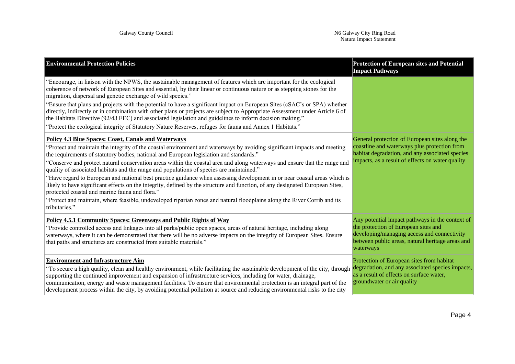| <b>Environmental Protection Policies</b>                                                                                                                                                                                                                                                                                                                                                                                                                                                                                                                                                                                                                                                                                                                                                                                                                                                                                                                                 | <b>Protection of European sites and Potential</b><br><b>Impact Pathways</b>                                                                                                                             |
|--------------------------------------------------------------------------------------------------------------------------------------------------------------------------------------------------------------------------------------------------------------------------------------------------------------------------------------------------------------------------------------------------------------------------------------------------------------------------------------------------------------------------------------------------------------------------------------------------------------------------------------------------------------------------------------------------------------------------------------------------------------------------------------------------------------------------------------------------------------------------------------------------------------------------------------------------------------------------|---------------------------------------------------------------------------------------------------------------------------------------------------------------------------------------------------------|
| "Encourage, in liaison with the NPWS, the sustainable management of features which are important for the ecological<br>coherence of network of European Sites and essential, by their linear or continuous nature or as stepping stones for the<br>migration, dispersal and genetic exchange of wild species."<br>"Ensure that plans and projects with the potential to have a significant impact on European Sites (cSAC's or SPA) whether<br>directly, indirectly or in combination with other plans or projects are subject to Appropriate Assessment under Article 6 of<br>the Habitats Directive (92/43 EEC) and associated legislation and guidelines to inform decision making."<br>"Protect the ecological integrity of Statutory Nature Reserves, refuges for fauna and Annex 1 Habitats."                                                                                                                                                                      |                                                                                                                                                                                                         |
| <b>Policy 4.3 Blue Spaces: Coast, Canals and Waterways</b><br>"Protect and maintain the integrity of the coastal environment and waterways by avoiding significant impacts and meeting<br>the requirements of statutory bodies, national and European legislation and standards."<br>"Conserve and protect natural conservation areas within the coastal area and along waterways and ensure that the range and<br>quality of associated habitats and the range and populations of species are maintained."<br>"Have regard to European and national best practice guidance when assessing development in or near coastal areas which is<br>likely to have significant effects on the integrity, defined by the structure and function, of any designated European Sites,<br>protected coastal and marine fauna and flora."<br>"Protect and maintain, where feasible, undeveloped riparian zones and natural floodplains along the River Corrib and its<br>tributaries." | General protection of European sites along the<br>coastline and waterways plus protection from<br>habitat degradation, and any associated species<br>impacts, as a result of effects on water quality   |
| <b>Policy 4.5.1 Community Spaces: Greenways and Public Rights of Way</b><br>"Provide controlled access and linkages into all parks/public open spaces, areas of natural heritage, including along<br>waterways, where it can be demonstrated that there will be no adverse impacts on the integrity of European Sites. Ensure<br>that paths and structures are constructed from suitable materials."                                                                                                                                                                                                                                                                                                                                                                                                                                                                                                                                                                     | Any potential impact pathways in the context of<br>the protection of European sites and<br>developing/managing access and connectivity<br>between public areas, natural heritage areas and<br>waterways |
| <b>Environment and Infrastructure Aim</b><br>"To secure a high quality, clean and healthy environment, while facilitating the sustainable development of the city, through<br>supporting the continued improvement and expansion of infrastructure services, including for water, drainage,<br>communication, energy and waste management facilities. To ensure that environmental protection is an integral part of the<br>development process within the city, by avoiding potential pollution at source and reducing environmental risks to the city                                                                                                                                                                                                                                                                                                                                                                                                                  | Protection of European sites from habitat<br>degradation, and any associated species impacts,<br>as a result of effects on surface water,<br>groundwater or air quality                                 |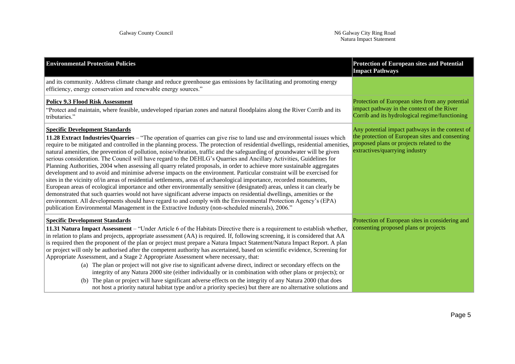| <b>Environmental Protection Policies</b>                                                                                                                                                                                                                                                                                                                                                                                                                                                                                                                                                                                                                                                                                                                                                                                                                                                                                                                                                                                                                                                                                                                                                                                                                                                                                                                                                                           | <b>Protection of European sites and Potential</b><br><b>Impact Pathways</b>                                                                                                       |
|--------------------------------------------------------------------------------------------------------------------------------------------------------------------------------------------------------------------------------------------------------------------------------------------------------------------------------------------------------------------------------------------------------------------------------------------------------------------------------------------------------------------------------------------------------------------------------------------------------------------------------------------------------------------------------------------------------------------------------------------------------------------------------------------------------------------------------------------------------------------------------------------------------------------------------------------------------------------------------------------------------------------------------------------------------------------------------------------------------------------------------------------------------------------------------------------------------------------------------------------------------------------------------------------------------------------------------------------------------------------------------------------------------------------|-----------------------------------------------------------------------------------------------------------------------------------------------------------------------------------|
| and its community. Address climate change and reduce greenhouse gas emissions by facilitating and promoting energy<br>efficiency, energy conservation and renewable energy sources."                                                                                                                                                                                                                                                                                                                                                                                                                                                                                                                                                                                                                                                                                                                                                                                                                                                                                                                                                                                                                                                                                                                                                                                                                               |                                                                                                                                                                                   |
| <b>Policy 9.3 Flood Risk Assessment</b><br>"Protect and maintain, where feasible, undeveloped riparian zones and natural floodplains along the River Corrib and its<br>tributaries."                                                                                                                                                                                                                                                                                                                                                                                                                                                                                                                                                                                                                                                                                                                                                                                                                                                                                                                                                                                                                                                                                                                                                                                                                               | Protection of European sites from any potential<br>impact pathway in the context of the River<br>Corrib and its hydrological regime/functioning                                   |
| <b>Specific Development Standards</b><br>11.28 Extract Industries/Quarries – "The operation of quarries can give rise to land use and environmental issues which<br>require to be mitigated and controlled in the planning process. The protection of residential dwellings, residential amenities,<br>natural amenities, the prevention of pollution, noise/vibration, traffic and the safeguarding of groundwater will be given<br>serious consideration. The Council will have regard to the DEHLG's Quarries and Ancillary Activities, Guidelines for<br>Planning Authorities, 2004 when assessing all quarry related proposals, in order to achieve more sustainable aggregates<br>development and to avoid and minimise adverse impacts on the environment. Particular constraint will be exercised for<br>sites in the vicinity of/in areas of residential settlements, areas of archaeological importance, recorded monuments,<br>European areas of ecological importance and other environmentally sensitive (designated) areas, unless it can clearly be<br>demonstrated that such quarries would not have significant adverse impacts on residential dwellings, amenities or the<br>environment. All developments should have regard to and comply with the Environmental Protection Agency's (EPA)<br>publication Environmental Management in the Extractive Industry (non-scheduled minerals), 2006." | Any potential impact pathways in the context of<br>the protection of European sites and consenting<br>proposed plans or projects related to the<br>extractives/quarrying industry |
| <b>Specific Development Standards</b><br>11.31 Natura Impact Assessment – "Under Article 6 of the Habitats Directive there is a requirement to establish whether,<br>in relation to plans and projects, appropriate assessment (AA) is required. If, following screening, it is considered that AA<br>is required then the proponent of the plan or project must prepare a Natura Impact Statement/Natura Impact Report. A plan<br>or project will only be authorised after the competent authority has ascertained, based on scientific evidence, Screening for<br>Appropriate Assessment, and a Stage 2 Appropriate Assessment where necessary, that:<br>(a) The plan or project will not give rise to significant adverse direct, indirect or secondary effects on the<br>integrity of any Natura 2000 site (either individually or in combination with other plans or projects); or<br>(b) The plan or project will have significant adverse effects on the integrity of any Natura 2000 (that does<br>not host a priority natural habitat type and/or a priority species) but there are no alternative solutions and                                                                                                                                                                                                                                                                                          | Protection of European sites in considering and<br>consenting proposed plans or projects                                                                                          |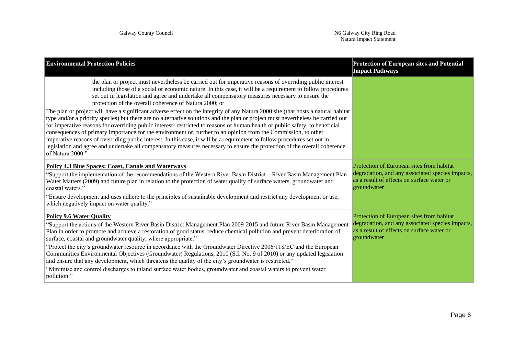| <b>Environmental Protection Policies</b>                                                                                                                                                                                                                                                                                                                                                                                                                                                                                                                                                                                                                                                                                                                                                                                                                                                                                                                                                                                                                                                                                                                                                       | <b>Protection of European sites and Potential</b><br><b>Impact Pathways</b>                                                                                |
|------------------------------------------------------------------------------------------------------------------------------------------------------------------------------------------------------------------------------------------------------------------------------------------------------------------------------------------------------------------------------------------------------------------------------------------------------------------------------------------------------------------------------------------------------------------------------------------------------------------------------------------------------------------------------------------------------------------------------------------------------------------------------------------------------------------------------------------------------------------------------------------------------------------------------------------------------------------------------------------------------------------------------------------------------------------------------------------------------------------------------------------------------------------------------------------------|------------------------------------------------------------------------------------------------------------------------------------------------------------|
| the plan or project must nevertheless be carried out for imperative reasons of overriding public interest –<br>including those of a social or economic nature. In this case, it will be a requirement to follow procedures<br>set out in legislation and agree and undertake all compensatory measures necessary to ensure the<br>protection of the overall coherence of Natura 2000; or<br>The plan or project will have a significant adverse effect on the integrity of any Natura 2000 site (that hosts a natural habitat<br>type and/or a priority species) but there are no alternative solutions and the plan or project must nevertheless be carried out<br>for imperative reasons for overriding public interest-restricted to reasons of human health or public safety, to beneficial<br>consequences of primary importance for the environment or, further to an opinion from the Commission, to other<br>imperative reasons of overriding public interest. In this case, it will be a requirement to follow procedures set out in<br>legislation and agree and undertake all compensatory measures necessary to ensure the protection of the overall coherence<br>of Natura 2000." |                                                                                                                                                            |
| <b>Policy 4.3 Blue Spaces: Coast, Canals and Waterways</b><br>"Support the implementation of the recommendations of the Western River Basin District – River Basin Management Plan<br>Water Matters (2009) and future plan in relation to the protection of water quality of surface waters, groundwater and<br>coastal waters."<br>"Ensure development and uses adhere to the principles of sustainable development and restrict any development or use,<br>which negatively impact on water quality."                                                                                                                                                                                                                                                                                                                                                                                                                                                                                                                                                                                                                                                                                        | Protection of European sites from habitat<br>degradation, and any associated species impacts,<br>as a result of effects on surface water or<br>groundwater |
| <b>Policy 9.6 Water Quality</b><br>"Support the actions of the Western River Basin District Management Plan 2009-2015 and future River Basin Management<br>Plan in order to promote and achieve a restoration of good status, reduce chemical pollution and prevent deterioration of<br>surface, coastal and groundwater quality, where appropriate."<br>"Protect the city's groundwater resource in accordance with the Groundwater Directive 2006/118/EC and the European<br>Communities Environmental Objectives (Groundwater) Regulations, 2010 (S.I. No. 9 of 2010) or any updated legislation<br>and ensure that any development, which threatens the quality of the city's groundwater is restricted."<br>"Minimise and control discharges to inland surface water bodies, groundwater and coastal waters to prevent water<br>pollution."                                                                                                                                                                                                                                                                                                                                               | Protection of European sites from habitat<br>degradation, and any associated species impacts,<br>as a result of effects on surface water or<br>groundwater |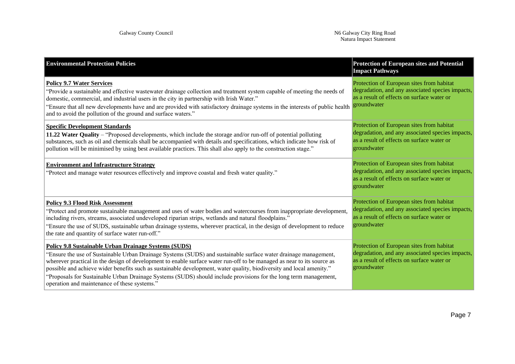| <b>Environmental Protection Policies</b>                                                                                                                                                                                                                                                                                                                                                                                                                                                                                                                                                      | <b>Protection of European sites and Potential</b><br><b>Impact Pathways</b>                                                                                |
|-----------------------------------------------------------------------------------------------------------------------------------------------------------------------------------------------------------------------------------------------------------------------------------------------------------------------------------------------------------------------------------------------------------------------------------------------------------------------------------------------------------------------------------------------------------------------------------------------|------------------------------------------------------------------------------------------------------------------------------------------------------------|
| <b>Policy 9.7 Water Services</b><br>"Provide a sustainable and effective wastewater drainage collection and treatment system capable of meeting the needs of<br>domestic, commercial, and industrial users in the city in partnership with Irish Water."<br>"Ensure that all new developments have and are provided with satisfactory drainage systems in the interests of public health<br>and to avoid the pollution of the ground and surface waters."                                                                                                                                     | Protection of European sites from habitat<br>degradation, and any associated species impacts,<br>as a result of effects on surface water or<br>groundwater |
| <b>Specific Development Standards</b><br>11.22 Water Quality – "Proposed developments, which include the storage and/or run-off of potential polluting<br>substances, such as oil and chemicals shall be accompanied with details and specifications, which indicate how risk of<br>pollution will be minimised by using best available practices. This shall also apply to the construction stage."                                                                                                                                                                                          | Protection of European sites from habitat<br>degradation, and any associated species impacts,<br>as a result of effects on surface water or<br>groundwater |
| <b>Environment and Infrastructure Strategy</b><br>"Protect and manage water resources effectively and improve coastal and fresh water quality."                                                                                                                                                                                                                                                                                                                                                                                                                                               | Protection of European sites from habitat<br>degradation, and any associated species impacts,<br>as a result of effects on surface water or<br>groundwater |
| <b>Policy 9.3 Flood Risk Assessment</b><br>"Protect and promote sustainable management and uses of water bodies and watercourses from inappropriate development,<br>including rivers, streams, associated undeveloped riparian strips, wetlands and natural floodplains."<br>"Ensure the use of SUDS, sustainable urban drainage systems, wherever practical, in the design of development to reduce<br>the rate and quantity of surface water run-off."                                                                                                                                      | Protection of European sites from habitat<br>degradation, and any associated species impacts,<br>as a result of effects on surface water or<br>groundwater |
| Policy 9.8 Sustainable Urban Drainage Systems (SUDS)<br>"Ensure the use of Sustainable Urban Drainage Systems (SUDS) and sustainable surface water drainage management,<br>wherever practical in the design of development to enable surface water run-off to be managed as near to its source as<br>possible and achieve wider benefits such as sustainable development, water quality, biodiversity and local amenity."<br>"Proposals for Sustainable Urban Drainage Systems (SUDS) should include provisions for the long term management,<br>operation and maintenance of these systems." | Protection of European sites from habitat<br>degradation, and any associated species impacts,<br>as a result of effects on surface water or<br>groundwater |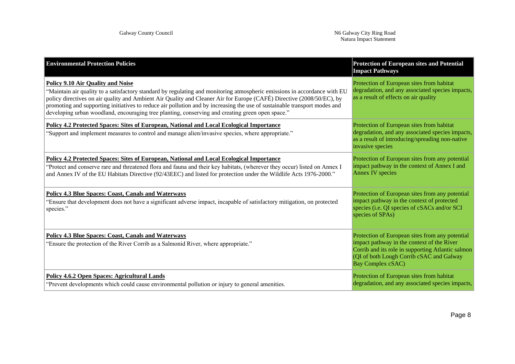| <b>Environmental Protection Policies</b>                                                                                                                                                                                                                                                                                                                                                                                                                                                                                        | <b>Protection of European sites and Potential</b><br><b>Impact Pathways</b>                                                                                                                                         |
|---------------------------------------------------------------------------------------------------------------------------------------------------------------------------------------------------------------------------------------------------------------------------------------------------------------------------------------------------------------------------------------------------------------------------------------------------------------------------------------------------------------------------------|---------------------------------------------------------------------------------------------------------------------------------------------------------------------------------------------------------------------|
| <b>Policy 9.10 Air Quality and Noise</b><br>"Maintain air quality to a satisfactory standard by regulating and monitoring atmospheric emissions in accordance with EU<br>policy directives on air quality and Ambient Air Quality and Cleaner Air for Europe (CAFÉ) Directive (2008/50/EC), by<br>promoting and supporting initiatives to reduce air pollution and by increasing the use of sustainable transport modes and<br>developing urban woodland, encouraging tree planting, conserving and creating green open space." | Protection of European sites from habitat<br>degradation, and any associated species impacts,<br>as a result of effects on air quality                                                                              |
| Policy 4.2 Protected Spaces: Sites of European, National and Local Ecological Importance<br>"Support and implement measures to control and manage alien/invasive species, where appropriate."                                                                                                                                                                                                                                                                                                                                   | Protection of European sites from habitat<br>degradation, and any associated species impacts,<br>as a result of introducing/spreading non-native<br>invasive species                                                |
| Policy 4.2 Protected Spaces: Sites of European, National and Local Ecological Importance<br>"Protect and conserve rare and threatened flora and fauna and their key habitats, (wherever they occur) listed on Annex I<br>and Annex IV of the EU Habitats Directive (92/43EEC) and listed for protection under the Wildlife Acts 1976-2000."                                                                                                                                                                                     | Protection of European sites from any potential<br>impact pathway in the context of Annex I and<br><b>Annex IV species</b>                                                                                          |
| <b>Policy 4.3 Blue Spaces: Coast, Canals and Waterways</b><br>"Ensure that development does not have a significant adverse impact, incapable of satisfactory mitigation, on protected<br>species."                                                                                                                                                                                                                                                                                                                              | Protection of European sites from any potential<br>impact pathway in the context of protected<br>species (i.e. QI species of cSACs and/or SCI<br>species of SPAs)                                                   |
| <b>Policy 4.3 Blue Spaces: Coast, Canals and Waterways</b><br>"Ensure the protection of the River Corrib as a Salmonid River, where appropriate."                                                                                                                                                                                                                                                                                                                                                                               | Protection of European sites from any potential<br>impact pathway in the context of the River<br>Corrib and its role in supporting Atlantic salmon<br>(QI of both Lough Corrib cSAC and Galway<br>Bay Complex cSAC) |
| <b>Policy 4.6.2 Open Spaces: Agricultural Lands</b><br>"Prevent developments which could cause environmental pollution or injury to general amenities.                                                                                                                                                                                                                                                                                                                                                                          | Protection of European sites from habitat<br>degradation, and any associated species impacts,                                                                                                                       |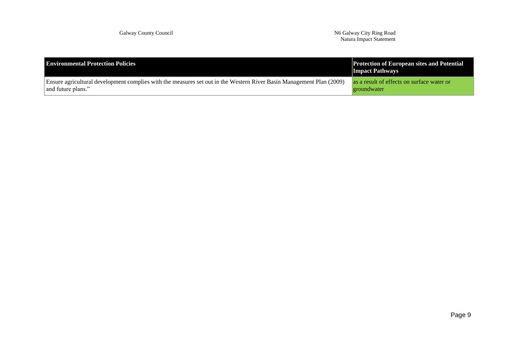Galway County Council N6 Galway City Ring Road Natura Impact Statement

| <b>Environmental Protection Policies</b>                                                                             | <b>Protection of European sites and Potential</b><br><b>Impact Pathways</b> |
|----------------------------------------------------------------------------------------------------------------------|-----------------------------------------------------------------------------|
| Ensure agricultural development complies with the measures set out in the Western River Basin Management Plan (2009) | as a result of effects on surface water or                                  |
| and future plans."                                                                                                   | groundwater                                                                 |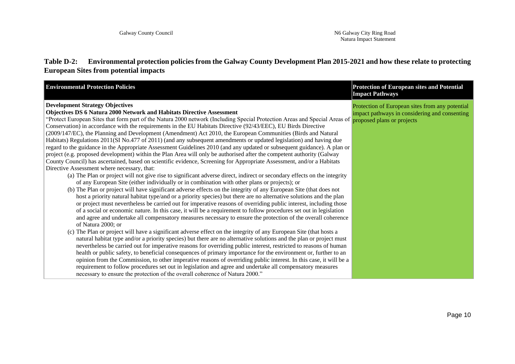#### **Table D-2: Environmental protection policies from the Galway County Development Plan 2015-2021 and how these relate to protecting European Sites from potential impacts**

| <b>Environmental Protection Policies</b>                                                                                                                                                                                                                                                                                                                                                                                                                                                                                                                                                                                                                                                                                                                                                                                                                                                                                                                                                                                                                                                                                                                                                                                                                                                                                                                                                                                                                                                                                                                                                                                                                                                                                                                                                                                                                                                                                                                                                                                                                                                                                                                                          | <b>Protection of European sites and Potential</b><br><b>Impact Pathways</b>                      |
|-----------------------------------------------------------------------------------------------------------------------------------------------------------------------------------------------------------------------------------------------------------------------------------------------------------------------------------------------------------------------------------------------------------------------------------------------------------------------------------------------------------------------------------------------------------------------------------------------------------------------------------------------------------------------------------------------------------------------------------------------------------------------------------------------------------------------------------------------------------------------------------------------------------------------------------------------------------------------------------------------------------------------------------------------------------------------------------------------------------------------------------------------------------------------------------------------------------------------------------------------------------------------------------------------------------------------------------------------------------------------------------------------------------------------------------------------------------------------------------------------------------------------------------------------------------------------------------------------------------------------------------------------------------------------------------------------------------------------------------------------------------------------------------------------------------------------------------------------------------------------------------------------------------------------------------------------------------------------------------------------------------------------------------------------------------------------------------------------------------------------------------------------------------------------------------|--------------------------------------------------------------------------------------------------|
| <b>Development Strategy Objectives</b><br><b>Objectives DS 6 Natura 2000 Network and Habitats Directive Assessment</b><br>"Protect European Sites that form part of the Natura 2000 network (Including Special Protection Areas and Special Areas of proposed plans or projects<br>Conservation) in accordance with the requirements in the EU Habitats Directive (92/43/EEC), EU Birds Directive<br>(2009/147/EC), the Planning and Development (Amendment) Act 2010, the European Communities (Birds and Natural<br>Habitats) Regulations 2011(SI No.477 of 2011) (and any subsequent amendments or updated legislation) and having due<br>regard to the guidance in the Appropriate Assessment Guidelines 2010 (and any updated or subsequent guidance). A plan or<br>project (e.g. proposed development) within the Plan Area will only be authorised after the competent authority (Galway<br>County Council) has ascertained, based on scientific evidence, Screening for Appropriate Assessment, and/or a Habitats<br>Directive Assessment where necessary, that:<br>(a) The Plan or project will not give rise to significant adverse direct, indirect or secondary effects on the integrity<br>of any European Site (either individually or in combination with other plans or projects); or<br>(b) The Plan or project will have significant adverse effects on the integrity of any European Site (that does not<br>host a priority natural habitat type/and or a priority species) but there are no alternative solutions and the plan<br>or project must nevertheless be carried out for imperative reasons of overriding public interest, including those<br>of a social or economic nature. In this case, it will be a requirement to follow procedures set out in legislation<br>and agree and undertake all compensatory measures necessary to ensure the protection of the overall coherence<br>of Natura 2000; or<br>(c) The Plan or project will have a significant adverse effect on the integrity of any European Site (that hosts a<br>natural habitat type and/or a priority species) but there are no alternative solutions and the plan or project must | Protection of European sites from any potential<br>impact pathways in considering and consenting |
| nevertheless be carried out for imperative reasons for overriding public interest, restricted to reasons of human<br>health or public safety, to beneficial consequences of primary importance for the environment or, further to an                                                                                                                                                                                                                                                                                                                                                                                                                                                                                                                                                                                                                                                                                                                                                                                                                                                                                                                                                                                                                                                                                                                                                                                                                                                                                                                                                                                                                                                                                                                                                                                                                                                                                                                                                                                                                                                                                                                                              |                                                                                                  |
| opinion from the Commission, to other imperative reasons of overriding public interest. In this case, it will be a<br>requirement to follow procedures set out in legislation and agree and undertake all compensatory measures                                                                                                                                                                                                                                                                                                                                                                                                                                                                                                                                                                                                                                                                                                                                                                                                                                                                                                                                                                                                                                                                                                                                                                                                                                                                                                                                                                                                                                                                                                                                                                                                                                                                                                                                                                                                                                                                                                                                                   |                                                                                                  |
| necessary to ensure the protection of the overall coherence of Natura 2000."                                                                                                                                                                                                                                                                                                                                                                                                                                                                                                                                                                                                                                                                                                                                                                                                                                                                                                                                                                                                                                                                                                                                                                                                                                                                                                                                                                                                                                                                                                                                                                                                                                                                                                                                                                                                                                                                                                                                                                                                                                                                                                      |                                                                                                  |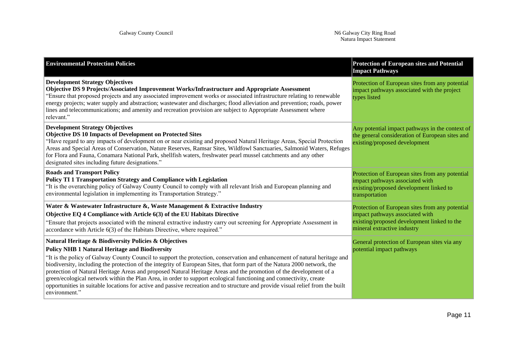| <b>Environmental Protection Policies</b>                                                                                                                                                                                                                                                                                                                                                                                                                                                                                                                                                                                                                                                                                                                                  | <b>Protection of European sites and Potential</b><br><b>Impact Pathways</b>                                                                                      |
|---------------------------------------------------------------------------------------------------------------------------------------------------------------------------------------------------------------------------------------------------------------------------------------------------------------------------------------------------------------------------------------------------------------------------------------------------------------------------------------------------------------------------------------------------------------------------------------------------------------------------------------------------------------------------------------------------------------------------------------------------------------------------|------------------------------------------------------------------------------------------------------------------------------------------------------------------|
| <b>Development Strategy Objectives</b><br>Objective DS 9 Projects/Associated Improvement Works/Infrastructure and Appropriate Assessment<br>"Ensure that proposed projects and any associated improvement works or associated infrastructure relating to renewable<br>energy projects; water supply and abstraction; wastewater and discharges; flood alleviation and prevention; roads, power<br>lines and telecommunications; and amenity and recreation provision are subject to Appropriate Assessment where<br>relevant."                                                                                                                                                                                                                                            | Protection of European sites from any potential<br>impact pathways associated with the project<br>types listed                                                   |
| <b>Development Strategy Objectives</b><br><b>Objective DS 10 Impacts of Development on Protected Sites</b><br>"Have regard to any impacts of development on or near existing and proposed Natural Heritage Areas, Special Protection<br>Areas and Special Areas of Conservation, Nature Reserves, Ramsar Sites, Wildfowl Sanctuaries, Salmonid Waters, Refuges<br>for Flora and Fauna, Conamara National Park, shellfish waters, freshwater pearl mussel catchments and any other<br>designated sites including future designations."                                                                                                                                                                                                                                     | Any potential impact pathways in the context of<br>the general consideration of European sites and<br>existing/proposed development                              |
| <b>Roads and Transport Policy</b><br>Policy TI 1 Transportation Strategy and Compliance with Legislation<br>"It is the overarching policy of Galway County Council to comply with all relevant Irish and European planning and<br>environmental legislation in implementing its Transportation Strategy."                                                                                                                                                                                                                                                                                                                                                                                                                                                                 | Protection of European sites from any potential<br>impact pathways associated with<br>existing/proposed development linked to<br>transportation                  |
| Water & Wastewater Infrastructure &, Waste Management & Extractive Industry<br>Objective EQ 4 Compliance with Article 6(3) of the EU Habitats Directive<br>"Ensure that projects associated with the mineral extractive industry carry out screening for Appropriate Assessment in<br>accordance with Article 6(3) of the Habitats Directive, where required."                                                                                                                                                                                                                                                                                                                                                                                                            | Protection of European sites from any potential<br>impact pathways associated with<br>existing/proposed development linked to the<br>mineral extractive industry |
| Natural Heritage & Biodiversity Policies & Objectives<br><b>Policy NHB 1 Natural Heritage and Biodiversity</b><br>"It is the policy of Galway County Council to support the protection, conservation and enhancement of natural heritage and<br>biodiversity, including the protection of the integrity of European Sites, that form part of the Natura 2000 network, the<br>protection of Natural Heritage Areas and proposed Natural Heritage Areas and the promotion of the development of a<br>green/ecological network within the Plan Area, in order to support ecological functioning and connectivity, create<br>opportunities in suitable locations for active and passive recreation and to structure and provide visual relief from the built<br>environment." | General protection of European sites via any<br>potential impact pathways                                                                                        |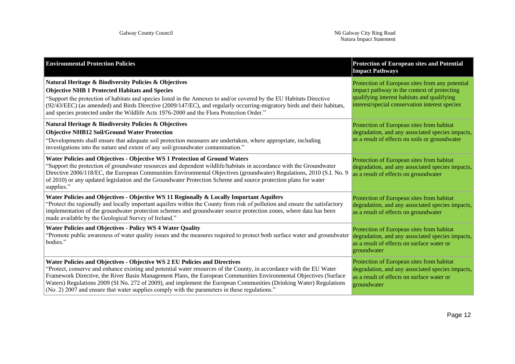| <b>Environmental Protection Policies</b>                                                                                                                                                                                                                                                                                                                                                                                                                                                                                                      | <b>Protection of European sites and Potential</b><br><b>Impact Pathways</b>                                                                                                                     |
|-----------------------------------------------------------------------------------------------------------------------------------------------------------------------------------------------------------------------------------------------------------------------------------------------------------------------------------------------------------------------------------------------------------------------------------------------------------------------------------------------------------------------------------------------|-------------------------------------------------------------------------------------------------------------------------------------------------------------------------------------------------|
| Natural Heritage & Biodiversity Policies & Objectives<br><b>Objective NHB 1 Protected Habitats and Species</b><br>"Support the protection of habitats and species listed in the Annexes to and/or covered by the EU Habitats Directive<br>(92/43/EEC) (as amended) and Birds Directive (2009/147/EC), and regularly occurring-migratory birds and their habitats,<br>and species protected under the Wildlife Acts 1976-2000 and the Flora Protection Order."                                                                                 | Protection of European sites from any potential<br>impact pathway in the context of protecting<br>qualifying interest habitats and qualifying<br>interest/special conservation interest species |
| Natural Heritage & Biodiversity Policies & Objectives<br><b>Objective NHB12 Soil/Ground Water Protection</b><br>"Developments shall ensure that adequate soil protection measures are undertaken, where appropriate, including<br>investigations into the nature and extent of any soil/groundwater contamination."                                                                                                                                                                                                                           | Protection of European sites from habitat<br>degradation, and any associated species impacts,<br>as a result of effects on soils or groundwater                                                 |
| Water Policies and Objectives - Objective WS 1 Protection of Ground Waters<br>"Support the protection of groundwater resources and dependent wildlife/habitats in accordance with the Groundwater<br>Directive 2006/118/EC, the European Communities Environmental Objectives (groundwater) Regulations, 2010 (S.I. No. 9<br>of 2010) or any updated legislation and the Groundwater Protection Scheme and source protection plans for water<br>supplies."                                                                                    | Protection of European sites from habitat<br>degradation, and any associated species impacts,<br>as a result of effects on groundwater                                                          |
| Water Policies and Objectives - Objective WS 11 Regionally & Locally Important Aquifers<br>"Protect the regionally and locally important aquifers within the County from risk of pollution and ensure the satisfactory<br>implementation of the groundwater protection schemes and groundwater source protection zones, where data has been<br>made available by the Geological Survey of Ireland."                                                                                                                                           | Protection of European sites from habitat<br>degradation, and any associated species impacts,<br>as a result of effects on groundwater                                                          |
| <b>Water Policies and Objectives - Policy WS 4 Water Quality</b><br>"Promote public awareness of water quality issues and the measures required to protect both surface water and groundwater<br>bodies."                                                                                                                                                                                                                                                                                                                                     | Protection of European sites from habitat<br>degradation, and any associated species impacts,<br>as a result of effects on surface water or<br>groundwater                                      |
| Water Policies and Objectives - Objective WS 2 EU Policies and Directives<br>"Protect, conserve and enhance existing and potential water resources of the County, in accordance with the EU Water<br>Framework Directive, the River Basin Management Plans, the European Communities Environmental Objectives (Surface<br>Waters) Regulations 2009 (SI No. 272 of 2009), and implement the European Communities (Drinking Water) Regulations<br>(No. 2) 2007 and ensure that water supplies comply with the parameters in these regulations." | Protection of European sites from habitat<br>degradation, and any associated species impacts,<br>as a result of effects on surface water or<br>groundwater                                      |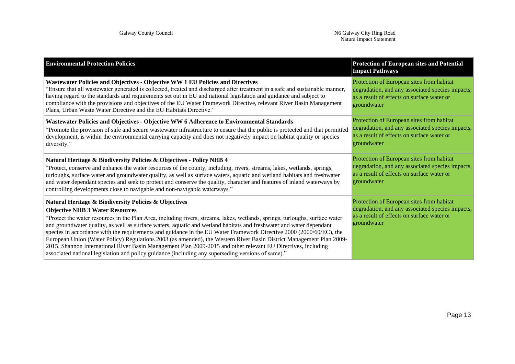| <b>Environmental Protection Policies</b>                                                                                                                                                                                                                                                                                                                                                                                                                                                                                                                                                                                                                                                                                                                                                                                    | <b>Protection of European sites and Potential</b><br><b>Impact Pathways</b>                                                                                |
|-----------------------------------------------------------------------------------------------------------------------------------------------------------------------------------------------------------------------------------------------------------------------------------------------------------------------------------------------------------------------------------------------------------------------------------------------------------------------------------------------------------------------------------------------------------------------------------------------------------------------------------------------------------------------------------------------------------------------------------------------------------------------------------------------------------------------------|------------------------------------------------------------------------------------------------------------------------------------------------------------|
| Wastewater Policies and Objectives - Objective WW 1 EU Policies and Directives<br>"Ensure that all wastewater generated is collected, treated and discharged after treatment in a safe and sustainable manner,<br>having regard to the standards and requirements set out in EU and national legislation and guidance and subject to<br>compliance with the provisions and objectives of the EU Water Framework Directive, relevant River Basin Management<br>Plans, Urban Waste Water Directive and the EU Habitats Directive."                                                                                                                                                                                                                                                                                            | Protection of European sites from habitat<br>degradation, and any associated species impacts,<br>as a result of effects on surface water or<br>groundwater |
| Wastewater Policies and Objectives - Objective WW 6 Adherence to Environmental Standards<br>"Promote the provision of safe and secure wastewater infrastructure to ensure that the public is protected and that permitted<br>development, is within the environmental carrying capacity and does not negatively impact on habitat quality or species<br>diversity."                                                                                                                                                                                                                                                                                                                                                                                                                                                         | Protection of European sites from habitat<br>degradation, and any associated species impacts,<br>as a result of effects on surface water or<br>groundwater |
| Natural Heritage & Biodiversity Policies & Objectives - Policy NHB 4<br>"Protect, conserve and enhance the water resources of the county, including, rivers, streams, lakes, wetlands, springs,<br>turloughs, surface water and groundwater quality, as well as surface waters, aquatic and wetland habitats and freshwater<br>and water dependant species and seek to protect and conserve the quality, character and features of inland waterways by<br>controlling developments close to navigable and non-navigable waterways."                                                                                                                                                                                                                                                                                         | Protection of European sites from habitat<br>degradation, and any associated species impacts,<br>as a result of effects on surface water or<br>groundwater |
| Natural Heritage & Biodiversity Policies & Objectives<br><b>Objective NHB 3 Water Resources</b><br>"Protect the water resources in the Plan Area, including rivers, streams, lakes, wetlands, springs, turloughs, surface water<br>and groundwater quality, as well as surface waters, aquatic and wetland habitats and freshwater and water dependant<br>species in accordance with the requirements and guidance in the EU Water Framework Directive 2000 (2000/60/EC), the<br>European Union (Water Policy) Regulations 2003 (as amended), the Western River Basin District Management Plan 2009-<br>2015, Shannon International River Basin Management Plan 2009-2015 and other relevant EU Directives, including<br>associated national legislation and policy guidance (including any superseding versions of same)." | Protection of European sites from habitat<br>degradation, and any associated species impacts,<br>as a result of effects on surface water or<br>groundwater |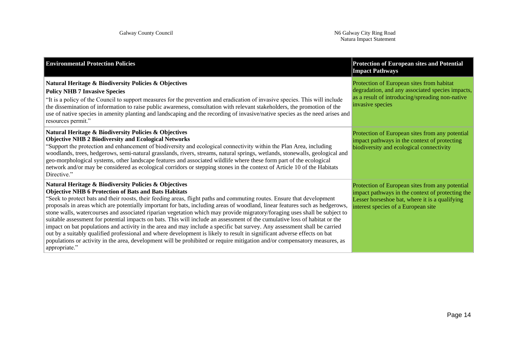| <b>Environmental Protection Policies</b>                                                                                                                                                                                                                                                                                                                                                                                                                                                                                                                                                                                                                                                                                                                                                                                                                                                                                                                                                                                                             | <b>Protection of European sites and Potential</b><br><b>Impact Pathways</b>                                                                                                                  |
|------------------------------------------------------------------------------------------------------------------------------------------------------------------------------------------------------------------------------------------------------------------------------------------------------------------------------------------------------------------------------------------------------------------------------------------------------------------------------------------------------------------------------------------------------------------------------------------------------------------------------------------------------------------------------------------------------------------------------------------------------------------------------------------------------------------------------------------------------------------------------------------------------------------------------------------------------------------------------------------------------------------------------------------------------|----------------------------------------------------------------------------------------------------------------------------------------------------------------------------------------------|
| Natural Heritage & Biodiversity Policies & Objectives<br><b>Policy NHB 7 Invasive Species</b><br>"It is a policy of the Council to support measures for the prevention and eradication of invasive species. This will include<br>the dissemination of information to raise public awareness, consultation with relevant stakeholders, the promotion of the<br>use of native species in amenity planting and landscaping and the recording of invasive/native species as the need arises and<br>resources permit."                                                                                                                                                                                                                                                                                                                                                                                                                                                                                                                                    | Protection of European sites from habitat<br>degradation, and any associated species impacts,<br>as a result of introducing/spreading non-native<br>invasive species                         |
| Natural Heritage & Biodiversity Policies & Objectives<br><b>Objective NHB 2 Biodiversity and Ecological Networks</b><br>"Support the protection and enhancement of biodiversity and ecological connectivity within the Plan Area, including<br>woodlands, trees, hedgerows, semi-natural grasslands, rivers, streams, natural springs, wetlands, stonewalls, geological and<br>geo-morphological systems, other landscape features and associated wildlife where these form part of the ecological<br>network and/or may be considered as ecological corridors or stepping stones in the context of Article 10 of the Habitats<br>Directive."                                                                                                                                                                                                                                                                                                                                                                                                        | Protection of European sites from any potential<br>impact pathways in the context of protecting<br>biodiversity and ecological connectivity                                                  |
| Natural Heritage & Biodiversity Policies & Objectives<br><b>Objective NHB 6 Protection of Bats and Bats Habitats</b><br>"Seek to protect bats and their roosts, their feeding areas, flight paths and commuting routes. Ensure that development<br>proposals in areas which are potentially important for bats, including areas of woodland, linear features such as hedgerows,<br>stone walls, watercourses and associated riparian vegetation which may provide migratory/foraging uses shall be subject to<br>suitable assessment for potential impacts on bats. This will include an assessment of the cumulative loss of habitat or the<br>impact on bat populations and activity in the area and may include a specific bat survey. Any assessment shall be carried<br>out by a suitably qualified professional and where development is likely to result in significant adverse effects on bat<br>populations or activity in the area, development will be prohibited or require mitigation and/or compensatory measures, as<br>appropriate." | Protection of European sites from any potential<br>impact pathways in the context of protecting the<br>Lesser horseshoe bat, where it is a qualifying<br>interest species of a European site |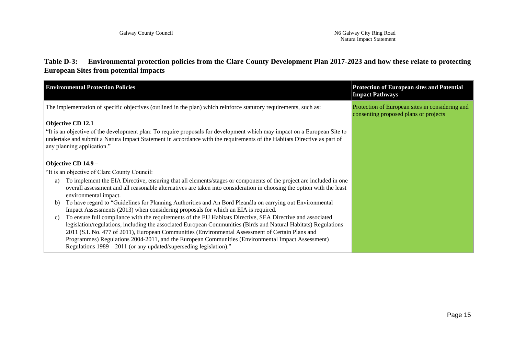### **Table D-3: Environmental protection policies from the Clare County Development Plan 2017-2023 and how these relate to protecting European Sites from potential impacts**

|    | <b>Environmental Protection Policies</b>                                                                                                                                                                                                                                                                                                                                                                                                                                                                       | <b>Protection of European sites and Potential</b><br><b>Impact Pathways</b>              |
|----|----------------------------------------------------------------------------------------------------------------------------------------------------------------------------------------------------------------------------------------------------------------------------------------------------------------------------------------------------------------------------------------------------------------------------------------------------------------------------------------------------------------|------------------------------------------------------------------------------------------|
|    | The implementation of specific objectives (outlined in the plan) which reinforce statutory requirements, such as:                                                                                                                                                                                                                                                                                                                                                                                              | Protection of European sites in considering and<br>consenting proposed plans or projects |
|    | Objective CD 12.1                                                                                                                                                                                                                                                                                                                                                                                                                                                                                              |                                                                                          |
|    | "It is an objective of the development plan: To require proposals for development which may impact on a European Site to<br>undertake and submit a Natura Impact Statement in accordance with the requirements of the Habitats Directive as part of<br>any planning application."                                                                                                                                                                                                                              |                                                                                          |
|    | Objective CD 14.9 -                                                                                                                                                                                                                                                                                                                                                                                                                                                                                            |                                                                                          |
|    | "It is an objective of Clare County Council:                                                                                                                                                                                                                                                                                                                                                                                                                                                                   |                                                                                          |
| a) | To implement the EIA Directive, ensuring that all elements/stages or components of the project are included in one<br>overall assessment and all reasonable alternatives are taken into consideration in choosing the option with the least<br>environmental impact.                                                                                                                                                                                                                                           |                                                                                          |
| b) | To have regard to "Guidelines for Planning Authorities and An Bord Pleanála on carrying out Environmental<br>Impact Assessments (2013) when considering proposals for which an EIA is required.                                                                                                                                                                                                                                                                                                                |                                                                                          |
| C) | To ensure full compliance with the requirements of the EU Habitats Directive, SEA Directive and associated<br>legislation/regulations, including the associated European Communities (Birds and Natural Habitats) Regulations<br>2011 (S.I. No. 477 of 2011), European Communities (Environmental Assessment of Certain Plans and<br>Programmes) Regulations 2004-2011, and the European Communities (Environmental Impact Assessment)<br>Regulations $1989 - 2011$ (or any updated/superseding legislation)." |                                                                                          |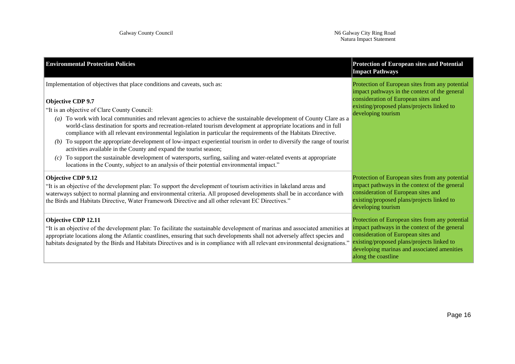| <b>Environmental Protection Policies</b>                                                                                                                                                                                                                                                                                                                                                                                                                                                                                                                                                                                                                                                                                                                                                                                                                                                                                                                   | <b>Protection of European sites and Potential</b><br><b>Impact Pathways</b>                                                                                                                                                                                 |
|------------------------------------------------------------------------------------------------------------------------------------------------------------------------------------------------------------------------------------------------------------------------------------------------------------------------------------------------------------------------------------------------------------------------------------------------------------------------------------------------------------------------------------------------------------------------------------------------------------------------------------------------------------------------------------------------------------------------------------------------------------------------------------------------------------------------------------------------------------------------------------------------------------------------------------------------------------|-------------------------------------------------------------------------------------------------------------------------------------------------------------------------------------------------------------------------------------------------------------|
| Implementation of objectives that place conditions and caveats, such as:<br>Objective CDP 9.7<br>"It is an objective of Clare County Council:<br>To work with local communities and relevant agencies to achieve the sustainable development of County Clare as a<br>$\left(a\right)$<br>world-class destination for sports and recreation-related tourism development at appropriate locations and in full<br>compliance with all relevant environmental legislation in particular the requirements of the Habitats Directive.<br>To support the appropriate development of low-impact experiential tourism in order to diversify the range of tourist<br>(b)<br>activities available in the County and expand the tourist season;<br>To support the sustainable development of watersports, surfing, sailing and water-related events at appropriate<br>(c)<br>locations in the County, subject to an analysis of their potential environmental impact." | Protection of European sites from any potential<br>impact pathways in the context of the general<br>consideration of European sites and<br>existing/proposed plans/projects linked to<br>developing tourism                                                 |
| <b>Objective CDP 9.12</b><br>"It is an objective of the development plan: To support the development of tourism activities in lakeland areas and<br>waterways subject to normal planning and environmental criteria. All proposed developments shall be in accordance with<br>the Birds and Habitats Directive, Water Framework Directive and all other relevant EC Directives."                                                                                                                                                                                                                                                                                                                                                                                                                                                                                                                                                                           | Protection of European sites from any potential<br>impact pathways in the context of the general<br>consideration of European sites and<br>existing/proposed plans/projects linked to<br>developing tourism                                                 |
| Objective CDP 12.11<br>"It is an objective of the development plan: To facilitate the sustainable development of marinas and associated amenities at<br>appropriate locations along the Atlantic coastlines, ensuring that such developments shall not adversely affect species and<br>habitats designated by the Birds and Habitats Directives and is in compliance with all relevant environmental designations."                                                                                                                                                                                                                                                                                                                                                                                                                                                                                                                                        | Protection of European sites from any potential<br>impact pathways in the context of the general<br>consideration of European sites and<br>existing/proposed plans/projects linked to<br>developing marinas and associated amenities<br>along the coastline |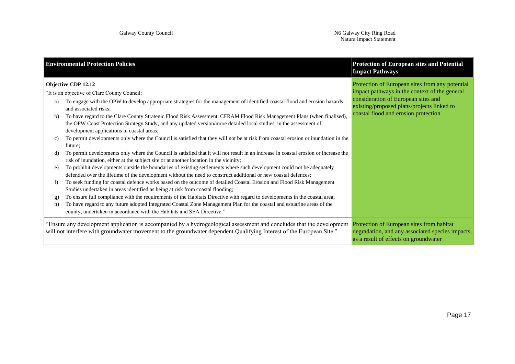|          | <b>Environmental Protection Policies</b>                                                                                                                                                                                                                                                                                        | <b>Protection of European sites and Potential</b><br><b>Impact Pathways</b>                                                            |
|----------|---------------------------------------------------------------------------------------------------------------------------------------------------------------------------------------------------------------------------------------------------------------------------------------------------------------------------------|----------------------------------------------------------------------------------------------------------------------------------------|
|          | <b>Objective CDP 12.12</b><br>"It is an objective of Clare County Council:                                                                                                                                                                                                                                                      | Protection of European sites from any potential<br>impact pathways in the context of the general                                       |
| a)       | To engage with the OPW to develop appropriate strategies for the management of identified coastal flood and erosion hazards<br>and associated risks;                                                                                                                                                                            | consideration of European sites and<br>existing/proposed plans/projects linked to                                                      |
| b)       | To have regard to the Clare County Strategic Flood Risk Assessment, CFRAM Flood Risk Management Plans (when finalised),<br>the OPW Coast Protection Strategy Study, and any updated version/more detailed local studies, in the assessment of<br>development applications in coastal areas;                                     | coastal flood and erosion protection                                                                                                   |
| C)       | To permit developments only where the Council is satisfied that they will not be at risk from coastal erosion or inundation in the<br>future;                                                                                                                                                                                   |                                                                                                                                        |
| d)       | To permit developments only where the Council is satisfied that it will not result in an increase in coastal erosion or increase the<br>risk of inundation, either at the subject site or at another location in the vicinity;                                                                                                  |                                                                                                                                        |
| e)       | To prohibit developments outside the boundaries of existing settlements where such development could not be adequately<br>defended over the lifetime of the development without the need to construct additional or new coastal defences;                                                                                       |                                                                                                                                        |
| f        | To seek funding for coastal defence works based on the outcome of detailed Coastal Erosion and Flood Risk Management<br>Studies undertaken in areas identified as being at risk from coastal flooding;                                                                                                                          |                                                                                                                                        |
| g)<br>h) | To ensure full compliance with the requirements of the Habitats Directive with regard to developments in the coastal area;<br>To have regard to any future adopted Integrated Coastal Zone Management Plan for the coastal and estuarine areas of the<br>county, undertaken in accordance with the Habitats and SEA Directive." |                                                                                                                                        |
|          | "Ensure any development application is accompanied by a hydrogeological assessment and concludes that the development<br>will not interfere with groundwater movement to the groundwater dependent Qualifying Interest of the European Site."                                                                                   | Protection of European sites from habitat<br>degradation, and any associated species impacts,<br>as a result of effects on groundwater |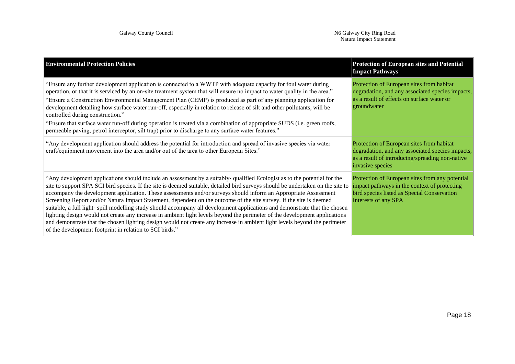| <b>Environmental Protection Policies</b>                                                                                                                                                                                                                                                                                                                                                                                                                                                                                                                                                                                                                                                                                                                                                                                                                                                                                                                   | <b>Protection of European sites and Potential</b><br><b>Impact Pathways</b>                                                                                            |
|------------------------------------------------------------------------------------------------------------------------------------------------------------------------------------------------------------------------------------------------------------------------------------------------------------------------------------------------------------------------------------------------------------------------------------------------------------------------------------------------------------------------------------------------------------------------------------------------------------------------------------------------------------------------------------------------------------------------------------------------------------------------------------------------------------------------------------------------------------------------------------------------------------------------------------------------------------|------------------------------------------------------------------------------------------------------------------------------------------------------------------------|
| "Ensure any further development application is connected to a WWTP with adequate capacity for foul water during<br>operation, or that it is serviced by an on-site treatment system that will ensure no impact to water quality in the area."<br>"Ensure a Construction Environmental Management Plan (CEMP) is produced as part of any planning application for<br>development detailing how surface water run-off, especially in relation to release of silt and other pollutants, will be<br>controlled during construction."<br>"Ensure that surface water run-off during operation is treated via a combination of appropriate SUDS (i.e. green roofs,<br>permeable paving, petrol interceptor, silt trap) prior to discharge to any surface water features."                                                                                                                                                                                         | Protection of European sites from habitat<br>degradation, and any associated species impacts,<br>as a result of effects on surface water or<br>groundwater             |
| "Any development application should address the potential for introduction and spread of invasive species via water<br>craft/equipment movement into the area and/or out of the area to other European Sites."                                                                                                                                                                                                                                                                                                                                                                                                                                                                                                                                                                                                                                                                                                                                             | Protection of European sites from habitat<br>degradation, and any associated species impacts,<br>as a result of introducing/spreading non-native<br>invasive species   |
| "Any development applications should include an assessment by a suitably-qualified Ecologist as to the potential for the<br>site to support SPA SCI bird species. If the site is deemed suitable, detailed bird surveys should be undertaken on the site to<br>accompany the development application. These assessments and/or surveys should inform an Appropriate Assessment<br>Screening Report and/or Natura Impact Statement, dependent on the outcome of the site survey. If the site is deemed<br>suitable, a full light-spill modelling study should accompany all development applications and demonstrate that the chosen<br>lighting design would not create any increase in ambient light levels beyond the perimeter of the development applications<br>and demonstrate that the chosen lighting design would not create any increase in ambient light levels beyond the perimeter<br>of the development footprint in relation to SCI birds." | Protection of European sites from any potential<br>impact pathways in the context of protecting<br>bird species listed as Special Conservation<br>Interests of any SPA |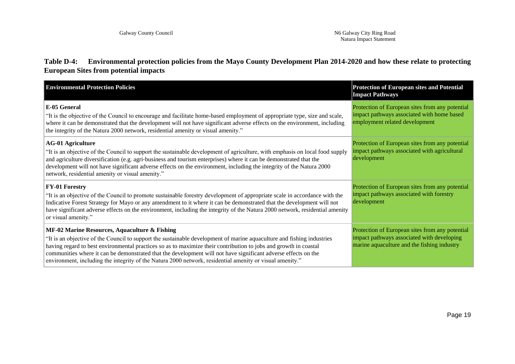#### **Table D-4: Environmental protection policies from the Mayo County Development Plan 2014-2020 and how these relate to protecting European Sites from potential impacts**

| <b>Environmental Protection Policies</b>                                                                                                                                                                                                                                                                                                                                                                                                                                                                                  | <b>Protection of European sites and Potential</b><br><b>Impact Pathways</b>                                                                  |
|---------------------------------------------------------------------------------------------------------------------------------------------------------------------------------------------------------------------------------------------------------------------------------------------------------------------------------------------------------------------------------------------------------------------------------------------------------------------------------------------------------------------------|----------------------------------------------------------------------------------------------------------------------------------------------|
| E-05 General<br>"It is the objective of the Council to encourage and facilitate home-based employment of appropriate type, size and scale,<br>where it can be demonstrated that the development will not have significant adverse effects on the environment, including<br>the integrity of the Natura 2000 network, residential amenity or visual amenity."                                                                                                                                                              | Protection of European sites from any potential<br>impact pathways associated with home based<br>employment related development              |
| <b>AG-01 Agriculture</b><br>"It is an objective of the Council to support the sustainable development of agriculture, with emphasis on local food supply<br>and agriculture diversification (e.g. agri-business and tourism enterprises) where it can be demonstrated that the<br>development will not have significant adverse effects on the environment, including the integrity of the Natura 2000<br>network, residential amenity or visual amenity."                                                                | Protection of European sites from any potential<br>impact pathways associated with agricultural<br>development                               |
| <b>FY-01 Forestry</b><br>"It is an objective of the Council to promote sustainable forestry development of appropriate scale in accordance with the<br>Indicative Forest Strategy for Mayo or any amendment to it where it can be demonstrated that the development will not<br>have significant adverse effects on the environment, including the integrity of the Natura 2000 network, residential amenity<br>or visual amenity."                                                                                       | Protection of European sites from any potential<br>impact pathways associated with forestry<br>development                                   |
| MF-02 Marine Resources, Aquaculture & Fishing<br>"It is an objective of the Council to support the sustainable development of marine aquaculture and fishing industries<br>having regard to best environmental practices so as to maximize their contribution to jobs and growth in coastal<br>communities where it can be demonstrated that the development will not have significant adverse effects on the<br>environment, including the integrity of the Natura 2000 network, residential amenity or visual amenity." | Protection of European sites from any potential<br>impact pathways associated with developing<br>marine aquaculture and the fishing industry |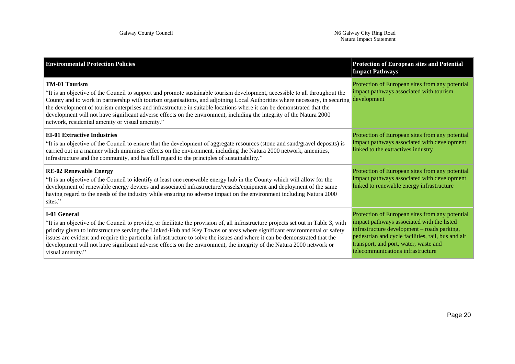| <b>Environmental Protection Policies</b>                                                                                                                                                                                                                                                                                                                                                                                                                                                                                                                                               | <b>Protection of European sites and Potential</b><br><b>Impact Pathways</b>                                                                                                                                                                                                      |
|----------------------------------------------------------------------------------------------------------------------------------------------------------------------------------------------------------------------------------------------------------------------------------------------------------------------------------------------------------------------------------------------------------------------------------------------------------------------------------------------------------------------------------------------------------------------------------------|----------------------------------------------------------------------------------------------------------------------------------------------------------------------------------------------------------------------------------------------------------------------------------|
| <b>TM-01 Tourism</b><br>"It is an objective of the Council to support and promote sustainable tourism development, accessible to all throughout the<br>County and to work in partnership with tourism organisations, and adjoining Local Authorities where necessary, in securing<br>the development of tourism enterprises and infrastructure in suitable locations where it can be demonstrated that the<br>development will not have significant adverse effects on the environment, including the integrity of the Natura 2000<br>network, residential amenity or visual amenity." | Protection of European sites from any potential<br>impact pathways associated with tourism<br>development                                                                                                                                                                        |
| <b>EI-01 Extractive Industries</b><br>"It is an objective of the Council to ensure that the development of aggregate resources (stone and sand/gravel deposits) is<br>carried out in a manner which minimises effects on the environment, including the Natura 2000 network, amenities,<br>infrastructure and the community, and has full regard to the principles of sustainability."                                                                                                                                                                                                 | Protection of European sites from any potential<br>impact pathways associated with development<br>linked to the extractives industry                                                                                                                                             |
| <b>RE-02 Renewable Energy</b><br>"It is an objective of the Council to identify at least one renewable energy hub in the County which will allow for the<br>development of renewable energy devices and associated infrastructure/vessels/equipment and deployment of the same<br>having regard to the needs of the industry while ensuring no adverse impact on the environment including Natura 2000<br>sites."                                                                                                                                                                      | Protection of European sites from any potential<br>impact pathways associated with development<br>linked to renewable energy infrastructure                                                                                                                                      |
| <b>I-01 General</b><br>"It is an objective of the Council to provide, or facilitate the provision of, all infrastructure projects set out in Table 3, with<br>priority given to infrastructure serving the Linked-Hub and Key Towns or areas where significant environmental or safety<br>issues are evident and require the particular infrastructure to solve the issues and where it can be demonstrated that the<br>development will not have significant adverse effects on the environment, the integrity of the Natura 2000 network or<br>visual amenity."                      | Protection of European sites from any potential<br>impact pathways associated with the listed<br>infrastructure development – roads parking,<br>pedestrian and cycle facilities, rail, bus and air<br>transport, and port, water, waste and<br>telecommunications infrastructure |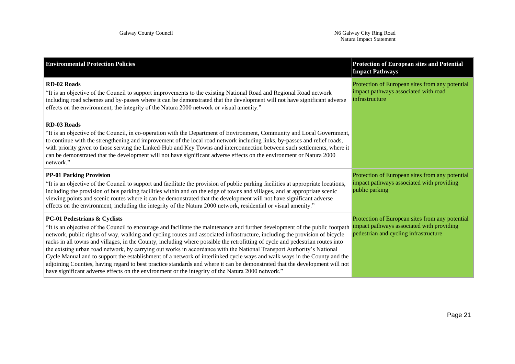| <b>Environmental Protection Policies</b>                                                                                                                                                                                                                                                                                                                                                                                                                                                                                                                                                                                                                                                                                                                                                                                                                                                                                          | <b>Protection of European sites and Potential</b><br><b>Impact Pathways</b>                                                           |
|-----------------------------------------------------------------------------------------------------------------------------------------------------------------------------------------------------------------------------------------------------------------------------------------------------------------------------------------------------------------------------------------------------------------------------------------------------------------------------------------------------------------------------------------------------------------------------------------------------------------------------------------------------------------------------------------------------------------------------------------------------------------------------------------------------------------------------------------------------------------------------------------------------------------------------------|---------------------------------------------------------------------------------------------------------------------------------------|
| <b>RD-02 Roads</b><br>"It is an objective of the Council to support improvements to the existing National Road and Regional Road network<br>including road schemes and by-passes where it can be demonstrated that the development will not have significant adverse<br>effects on the environment, the integrity of the Natura 2000 network or visual amenity."                                                                                                                                                                                                                                                                                                                                                                                                                                                                                                                                                                  | Protection of European sites from any potential<br>impact pathways associated with road<br>infrastructure                             |
| <b>RD-03 Roads</b><br>"It is an objective of the Council, in co-operation with the Department of Environment, Community and Local Government,<br>to continue with the strengthening and improvement of the local road network including links, by-passes and relief roads,<br>with priority given to those serving the Linked-Hub and Key Towns and interconnection between such settlements, where it<br>can be demonstrated that the development will not have significant adverse effects on the environment or Natura 2000<br>network."                                                                                                                                                                                                                                                                                                                                                                                       |                                                                                                                                       |
| <b>PP-01 Parking Provision</b><br>"It is an objective of the Council to support and facilitate the provision of public parking facilities at appropriate locations,<br>including the provision of bus parking facilities within and on the edge of towns and villages, and at appropriate scenic<br>viewing points and scenic routes where it can be demonstrated that the development will not have significant adverse<br>effects on the environment, including the integrity of the Natura 2000 network, residential or visual amenity."                                                                                                                                                                                                                                                                                                                                                                                       | Protection of European sites from any potential<br>impact pathways associated with providing<br>public parking                        |
| <b>PC-01 Pedestrians &amp; Cyclists</b><br>"It is an objective of the Council to encourage and facilitate the maintenance and further development of the public footpath<br>network, public rights of way, walking and cycling routes and associated infrastructure, including the provision of bicycle<br>racks in all towns and villages, in the County, including where possible the retrofitting of cycle and pedestrian routes into<br>the existing urban road network, by carrying out works in accordance with the National Transport Authority's National<br>Cycle Manual and to support the establishment of a network of interlinked cycle ways and walk ways in the County and the<br>adjoining Counties, having regard to best practice standards and where it can be demonstrated that the development will not<br>have significant adverse effects on the environment or the integrity of the Natura 2000 network." | Protection of European sites from any potential<br>impact pathways associated with providing<br>pedestrian and cycling infrastructure |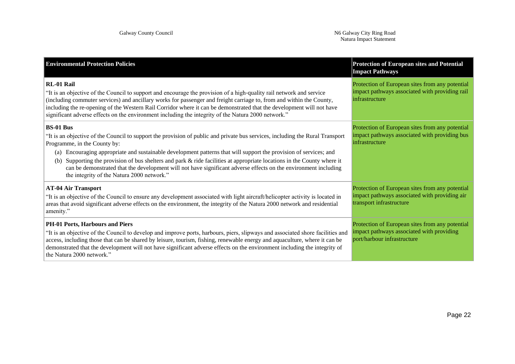| <b>Environmental Protection Policies</b>                                                                                                                                                                                                                                                                                                                                                                                                                                                                                                                                                                 | <b>Protection of European sites and Potential</b><br><b>Impact Pathways</b>                                                  |
|----------------------------------------------------------------------------------------------------------------------------------------------------------------------------------------------------------------------------------------------------------------------------------------------------------------------------------------------------------------------------------------------------------------------------------------------------------------------------------------------------------------------------------------------------------------------------------------------------------|------------------------------------------------------------------------------------------------------------------------------|
| RL-01 Rail<br>"It is an objective of the Council to support and encourage the provision of a high-quality rail network and service<br>(including commuter services) and ancillary works for passenger and freight carriage to, from and within the County,<br>including the re-opening of the Western Rail Corridor where it can be demonstrated that the development will not have<br>significant adverse effects on the environment including the integrity of the Natura 2000 network."                                                                                                               | Protection of European sites from any potential<br>impact pathways associated with providing rail<br>infrastructure          |
| <b>BS-01 Bus</b><br>"It is an objective of the Council to support the provision of public and private bus services, including the Rural Transport<br>Programme, in the County by:<br>Encouraging appropriate and sustainable development patterns that will support the provision of services; and<br>(a)<br>Supporting the provision of bus shelters and park & ride facilities at appropriate locations in the County where it<br>(b)<br>can be demonstrated that the development will not have significant adverse effects on the environment including<br>the integrity of the Natura 2000 network." | Protection of European sites from any potential<br>impact pathways associated with providing bus<br>infrastructure           |
| <b>AT-04 Air Transport</b><br>"It is an objective of the Council to ensure any development associated with light aircraft/helicopter activity is located in<br>areas that avoid significant adverse effects on the environment, the integrity of the Natura 2000 network and residential<br>amenity."                                                                                                                                                                                                                                                                                                    | Protection of European sites from any potential<br>impact pathways associated with providing air<br>transport infrastructure |
| PH-01 Ports, Harbours and Piers<br>"It is an objective of the Council to develop and improve ports, harbours, piers, slipways and associated shore facilities and<br>access, including those that can be shared by leisure, tourism, fishing, renewable energy and aquaculture, where it can be<br>demonstrated that the development will not have significant adverse effects on the environment including the integrity of<br>the Natura 2000 network."                                                                                                                                                | Protection of European sites from any potential<br>impact pathways associated with providing<br>port/harbour infrastructure  |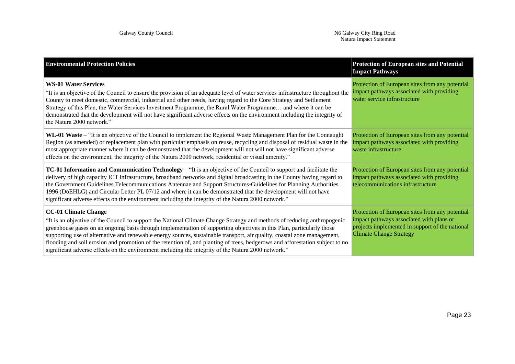| <b>Environmental Protection Policies</b>                                                                                                                                                                                                                                                                                                                                                                                                                                                                                                                                                                                                             | <b>Protection of European sites and Potential</b><br><b>Impact Pathways</b>                                                                                                      |
|------------------------------------------------------------------------------------------------------------------------------------------------------------------------------------------------------------------------------------------------------------------------------------------------------------------------------------------------------------------------------------------------------------------------------------------------------------------------------------------------------------------------------------------------------------------------------------------------------------------------------------------------------|----------------------------------------------------------------------------------------------------------------------------------------------------------------------------------|
| <b>WS-01 Water Services</b><br>"It is an objective of the Council to ensure the provision of an adequate level of water services infrastructure throughout the<br>County to meet domestic, commercial, industrial and other needs, having regard to the Core Strategy and Settlement<br>Strategy of this Plan, the Water Services Investment Programme, the Rural Water Programme and where it can be<br>demonstrated that the development will not have significant adverse effects on the environment including the integrity of<br>the Natura 2000 network."                                                                                      | Protection of European sites from any potential<br>impact pathways associated with providing<br>water service infrastructure                                                     |
| WL-01 Waste – "It is an objective of the Council to implement the Regional Waste Management Plan for the Connaught<br>Region (as amended) or replacement plan with particular emphasis on reuse, recycling and disposal of residual waste in the<br>most appropriate manner where it can be demonstrated that the development will not will not have significant adverse<br>effects on the environment, the integrity of the Natura 2000 network, residential or visual amenity."                                                                                                                                                                    | Protection of European sites from any potential<br>impact pathways associated with providing<br>waste infrastructure                                                             |
| <b>TC-01 Information and Communication Technology</b> – "It is an objective of the Council to support and facilitate the<br>delivery of high capacity ICT infrastructure, broadband networks and digital broadcasting in the County having regard to<br>the Government Guidelines Telecommunications Antennae and Support Structures-Guidelines for Planning Authorities<br>1996 (DoEHLG) and Circular Letter PL 07/12 and where it can be demonstrated that the development will not have<br>significant adverse effects on the environment including the integrity of the Natura 2000 network."                                                    | Protection of European sites from any potential<br>impact pathways associated with providing<br>telecommunications infrastructure                                                |
| <b>CC-01 Climate Change</b><br>"It is an objective of the Council to support the National Climate Change Strategy and methods of reducing anthropogenic<br>greenhouse gases on an ongoing basis through implementation of supporting objectives in this Plan, particularly those<br>supporting use of alternative and renewable energy sources, sustainable transport, air quality, coastal zone management,<br>flooding and soil erosion and promotion of the retention of, and planting of trees, hedgerows and afforestation subject to no<br>significant adverse effects on the environment including the integrity of the Natura 2000 network." | Protection of European sites from any potential<br>impact pathways associated with plans or<br>projects implemented in support of the national<br><b>Climate Change Strategy</b> |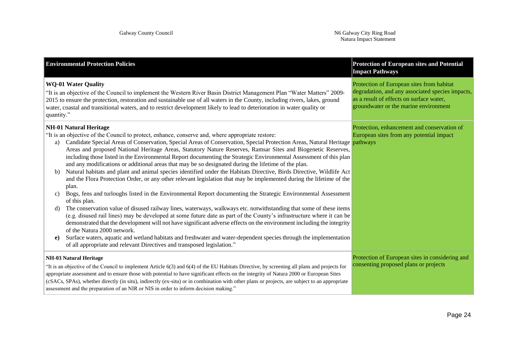| <b>Environmental Protection Policies</b>                                                                                                                                                                                                                                                                                                                                                                                                                                                                                                                                                                                                                                                                                                                                                                                                                                                                                                                                                                                                                                                                                                                                                                                                                                                                                                                                                                                                                                                                                                                                                                                                          | <b>Protection of European sites and Potential</b><br><b>Impact Pathways</b>                                                                                                        |
|---------------------------------------------------------------------------------------------------------------------------------------------------------------------------------------------------------------------------------------------------------------------------------------------------------------------------------------------------------------------------------------------------------------------------------------------------------------------------------------------------------------------------------------------------------------------------------------------------------------------------------------------------------------------------------------------------------------------------------------------------------------------------------------------------------------------------------------------------------------------------------------------------------------------------------------------------------------------------------------------------------------------------------------------------------------------------------------------------------------------------------------------------------------------------------------------------------------------------------------------------------------------------------------------------------------------------------------------------------------------------------------------------------------------------------------------------------------------------------------------------------------------------------------------------------------------------------------------------------------------------------------------------|------------------------------------------------------------------------------------------------------------------------------------------------------------------------------------|
| <b>WQ-01 Water Quality</b><br>"It is an objective of the Council to implement the Western River Basin District Management Plan "Water Matters" 2009-<br>2015 to ensure the protection, restoration and sustainable use of all waters in the County, including rivers, lakes, ground<br>water, coastal and transitional waters, and to restrict development likely to lead to deterioration in water quality or<br>quantity."                                                                                                                                                                                                                                                                                                                                                                                                                                                                                                                                                                                                                                                                                                                                                                                                                                                                                                                                                                                                                                                                                                                                                                                                                      | Protection of European sites from habitat<br>degradation, and any associated species impacts,<br>as a result of effects on surface water,<br>groundwater or the marine environment |
| <b>NH-01 Natural Heritage</b><br>"It is an objective of the Council to protect, enhance, conserve and, where appropriate restore:<br>Candidate Special Areas of Conservation, Special Areas of Conservation, Special Protection Areas, Natural Heritage pathways<br>a)<br>Areas and proposed National Heritage Areas, Statutory Nature Reserves, Ramsar Sites and Biogenetic Reserves,<br>including those listed in the Environmental Report documenting the Strategic Environmental Assessment of this plan<br>and any modifications or additional areas that may be so designated during the lifetime of the plan.<br>Natural habitats and plant and animal species identified under the Habitats Directive, Birds Directive, Wildlife Act<br>b)<br>and the Flora Protection Order, or any other relevant legislation that may be implemented during the lifetime of the<br>plan.<br>Bogs, fens and turloughs listed in the Environmental Report documenting the Strategic Environmental Assessment<br>C)<br>of this plan.<br>The conservation value of disused railway lines, waterways, walkways etc. notwithstanding that some of these items<br>d)<br>(e.g. disused rail lines) may be developed at some future date as part of the County's infrastructure where it can be<br>demonstrated that the development will not have significant adverse effects on the environment including the integrity<br>of the Natura 2000 network.<br>Surface waters, aquatic and wetland habitats and freshwater and water-dependent species through the implementation<br>e)<br>of all appropriate and relevant Directives and transposed legislation." | Protection, enhancement and conservation of<br>European sites from any potential impact                                                                                            |
| <b>NH-03 Natural Heritage</b><br>"It is an objective of the Council to implement Article 6(3) and 6(4) of the EU Habitats Directive, by screening all plans and projects for<br>appropriate assessment and to ensure those with potential to have significant effects on the integrity of Natura 2000 or European Sites<br>(cSACs, SPAs), whether directly (in situ), indirectly (ex-situ) or in combination with other plans or projects, are subject to an appropriate<br>assessment and the preparation of an NIR or NIS in order to inform decision making."                                                                                                                                                                                                                                                                                                                                                                                                                                                                                                                                                                                                                                                                                                                                                                                                                                                                                                                                                                                                                                                                                  | Protection of European sites in considering and<br>consenting proposed plans or projects                                                                                           |